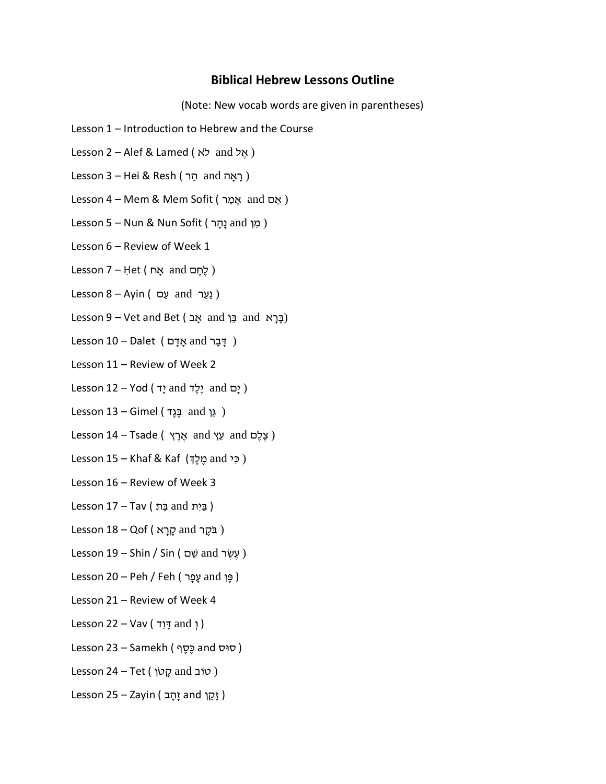## **Biblical Hebrew Lessons Outline**

(Note: New vocab words are given in parentheses)

- Lesson 1 Introduction to Hebrew and the Course
- Lesson 2 Alef & Lamed ( אֱל and לֹא
- Lesson 3 Hei & Resh (הַר ) and הַר
- Lesson 4 Mem & Mem Sofit ( אָם and אָמַר )
- Lesson 5 Nun & Nun Sofit ( מִן and נָהָר )
- Lesson 6 Review of Week 1
- Lesson 7 Het ( לְחֵם and אֵח
- Lesson 8 Ayin ( נַעַר and )
- (בָּרָא and בֵּן and גָּב and בָּן and בָּן and (בָּרָא
- ( דַּבַר and אָדָם ) Lesson 10 Dalet
- Lesson 11 Review of Week 2
- $lesson 12 Yod (T2 and Y2)$  and  $S(2)$  and  $S(3)$
- Lesson 13 Gimel ( גֵּן and בֲגֶד )
- Lesson 14 Tsade ( אֱרֵץ and עֵץ and עֵ גֶ
- Lesson 15 Khaf & Kaf (כִּי and מֶלֶךְ and )
- Lesson 16 Review of Week 3
- ( בַּיִת and בַּת and בַּח )
- Lesson 18 Qof ( בֹּקֶר and קַרֵא
- Lesson 19 Shin / Sin ( עֵשֶׂר and שֵׁם )
- ( פֶן and עָ פָר ) Feh / Peh 20 Lesson
- Lesson 21 Review of Week 4
- $lesson 22 Vav ($  יְּתְד  $and$ )
- Lesson 23 Samekh ( סוּס and כֵּסֵף)
- $less$ on 24 Tet ( קָטׂוֹך ) und ק
- ( זָּקֵ ןְ and זָּהָּ ב ) Zayin 25 Lesson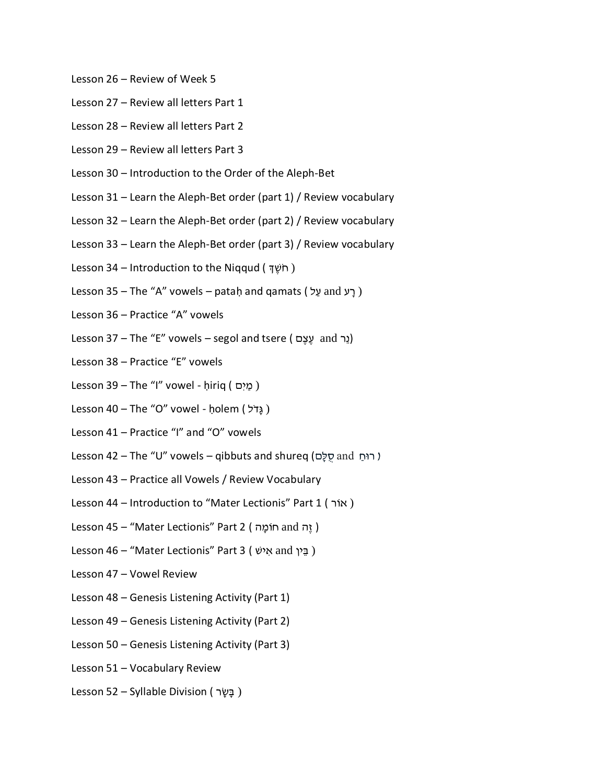- Lesson 26 Review of Week 5
- Lesson 27 Review all letters Part 1
- Lesson 28 Review all letters Part 2
- Lesson 29 Review all letters Part 3
- Lesson 30 Introduction to the Order of the Aleph-Bet
- Lesson 31 Learn the Aleph-Bet order (part 1) / Review vocabulary
- Lesson 32 Learn the Aleph-Bet order (part 2) / Review vocabulary
- Lesson 33 Learn the Aleph-Bet order (part 3) / Review vocabulary
- Lesson 34 Introduction to the Niqqud ( חֹשֵׁדְּ)
- Lesson 35 The "A" vowels pataḥ and qamats ( רַע and יָכן)
- Lesson 36 Practice "A" vowels
- Lesson 37 The "E" vowels segol and tsere ( נֵר and יָצֶם)
- Lesson 38 Practice "E" vowels
- Lesson 39 The "I" vowel ḥiriq ( מַיִם)
- Lesson 40 The "O" vowel holem ( גדל)
- Lesson 41 Practice "I" and "O" vowels
- Lesson 42 The "U" vowels qibbuts and shureq (רוּחַ and יוֹח
- Lesson 43 Practice all Vowels / Review Vocabulary
- Lesson 44 Introduction to "Mater Lectionis" Part 1 ( אוֹר)
- ( זֶה and חוֹמַה ) Lesson 45 "Mater Lectionis" Part 2
- Lesson 46 "Mater Lectionis" Part 3 ( נְבַּין and יְ
- Lesson 47 Vowel Review
- Lesson 48 Genesis Listening Activity (Part 1)
- Lesson 49 Genesis Listening Activity (Part 2)
- Lesson 50 Genesis Listening Activity (Part 3)
- Lesson 51 Vocabulary Review
- Lesson 52 Syllable Division ( בַּשׂר )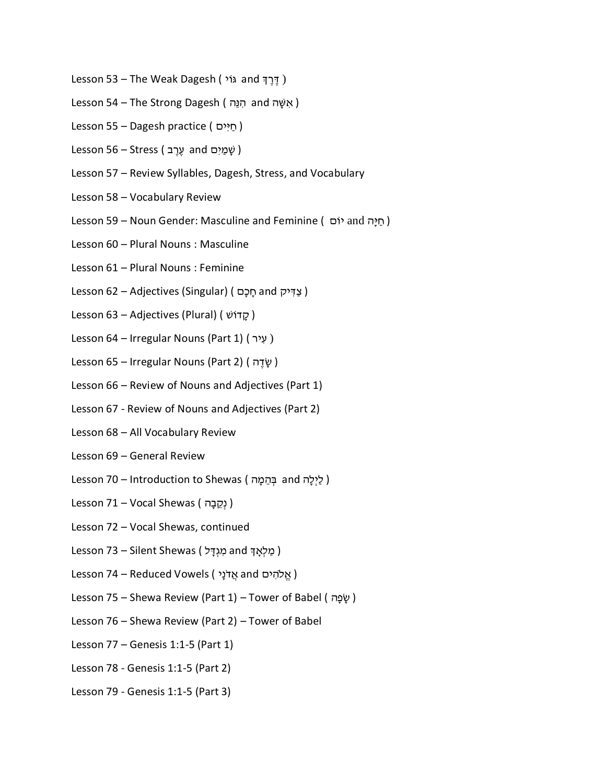- Lesson 53 The Weak Dagesh ( יֹדֶרֶדְ and יֹדָ
- Lesson 54 The Strong Dagesh ( אִשָּׁה and הִנֵּה)
- Lesson 55 Dagesh practice ( חיים)
- Lesson 56 Stress ( שָׁמַיִם and עֶרֶב
- Lesson 57 Review Syllables, Dagesh, Stress, and Vocabulary
- Lesson 58 Vocabulary Review
- Lesson 59 Noun Gender: Masculine and Feminine ( חַיַּה and הָיִם)
- Lesson 60 Plural Nouns : Masculine
- Lesson 61 Plural Nouns : Feminine
- Lesson 62 Adjectives (Singular) ( צַדְיק and חֻכָּם)
- Lesson 63 Adjectives (Plural) ( קָדוֹשׁ)
- Lesson 64 Irregular Nouns (Part 1) ( עַיר)
- Lesson 65 Irregular Nouns (Part 2) ( שָׂדֶה)
- Lesson 66 Review of Nouns and Adjectives (Part 1)
- Lesson 67 Review of Nouns and Adjectives (Part 2)
- Lesson 68 All Vocabulary Review
- Lesson 69 General Review
- Lesson 70 Introduction to Shewas ( לַיִלַה and בְּהֶמַה = 1
- Lesson 71 Vocal Shewas ( נְקֶבָה)
- Lesson 72 Vocal Shewas, continued
- ( מַלְאָדְּ and מְגִדָּל Silent Shewas ( מַלְאָד
- Lesson 74 Reduced Vowels ( אֱ לֹהִים and אֲ דֹּנַי
- Lesson 75 Shewa Review (Part 1) Tower of Babel ( שֶׁפָּה)
- Lesson 76 Shewa Review (Part 2) Tower of Babel
- Lesson 77 Genesis 1:1-5 (Part 1)
- Lesson 78 Genesis 1:1-5 (Part 2)
- Lesson 79 Genesis 1:1-5 (Part 3)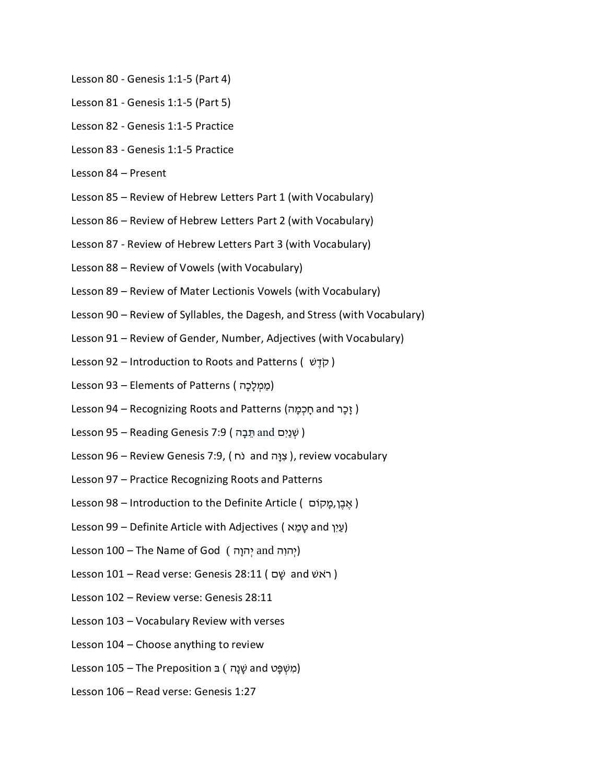- Lesson 80 Genesis 1:1-5 (Part 4)
- Lesson 81 Genesis 1:1-5 (Part 5)
- Lesson 82 Genesis 1:1-5 Practice
- Lesson 83 Genesis 1:1-5 Practice
- Lesson 84 Present
- Lesson 85 Review of Hebrew Letters Part 1 (with Vocabulary)
- Lesson 86 Review of Hebrew Letters Part 2 (with Vocabulary)
- Lesson 87 Review of Hebrew Letters Part 3 (with Vocabulary)
- Lesson 88 Review of Vowels (with Vocabulary)
- Lesson 89 Review of Mater Lectionis Vowels (with Vocabulary)
- Lesson 90 Review of Syllables, the Dagesh, and Stress (with Vocabulary)
- Lesson 91 Review of Gender, Number, Adjectives (with Vocabulary)
- Lesson 92 Introduction to Roots and Patterns ( קֹדָשׁ)
- Lesson 93 Elements of Patterns (מַמְלָכָה)
- ( זָכָר and חַכְמַה) Lesson 94 Recognizing Roots and Patterns (זָכָר and י
- Lesson 95 Reading Genesis 7:9 ( שְׁנַיִּם and תֵּבָה )
- Lesson 96 Review Genesis 7:9, ( פְּוָּה and יִצְוּח , review vocabulary
- Lesson 97 Practice Recognizing Roots and Patterns
- ( אֶבֶן,מַקוֹם ) Lesson 98 Introduction to the Definite Article ( אֱבֵן,מַקוֹם
- Lesson 99 Definite Article with Adjectives (עַיִן and עֲמֶא
- Lesson 100 The Name of God (יְהוִה and יְהוָה )
- Lesson 101 Read verse: Genesis 28:11 ( בֹּאשׁ and הָ
- Lesson 102 Review verse: Genesis 28:11
- Lesson 103 Vocabulary Review with verses
- Lesson 104 Choose anything to review
- (מִשְׁפֵּט and שָׁנַה) בּ Lesson 105 The Preposition
- Lesson 106 Read verse: Genesis 1:27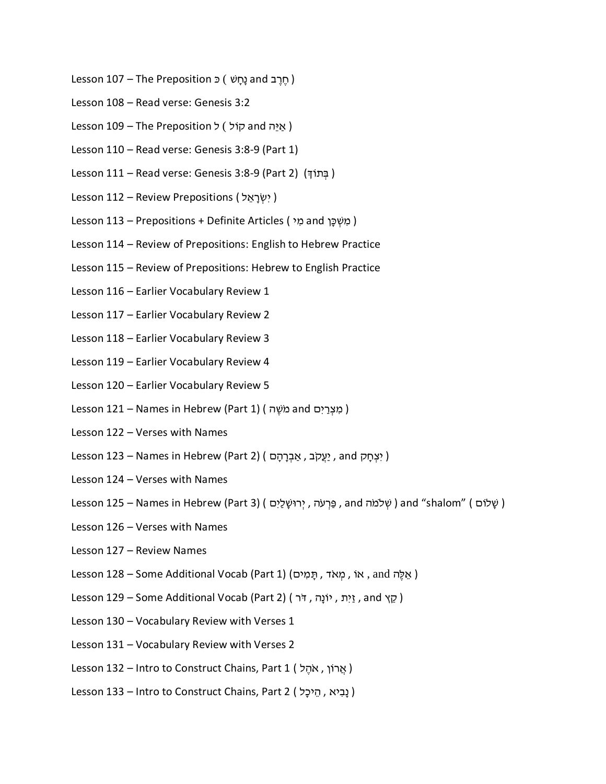- רְ ב and נַחֲשׁ ) כּ Lesson 107 The Preposition (חֶרֶב Lesson
- Lesson 108 Read verse: Genesis 3:2
- ( איה and קוֹל ) ל Lesson 109 The Preposition
- Lesson 110 Read verse: Genesis 3:8-9 (Part 1)
- Lesson 111 Read verse: Genesis 3:8-9 (Part 2) (בְּתוֹדְּ)
- Lesson 112 Review Prepositions ( יִשְׂרָאֵל)
- ( מִשְׁכֵּן and מִי ) Lesson 113 Prepositions + Definite Articles ( מִשְׁכֵּן
- Lesson 114 Review of Prepositions: English to Hebrew Practice
- Lesson 115 Review of Prepositions: Hebrew to English Practice
- Lesson 116 Earlier Vocabulary Review 1
- Lesson 117 Earlier Vocabulary Review 2
- Lesson 118 Earlier Vocabulary Review 3
- Lesson 119 Earlier Vocabulary Review 4
- Lesson 120 Earlier Vocabulary Review 5
- Lesson 121 Names in Hebrew (Part 1) ( מצרים and כוֹשֶׁה )
- Lesson 122 Verses with Names
- Lesson 123 Names in Hebrew (Part 2) ( יִצְחַק , and יָעֲקֹב , אֲבְרָהָם )
- Lesson 124 Verses with Names
- Lesson 125 Names in Hebrew (Part 3) ( פַּרְעֹּה , יְרוּשֶׁלַיִם ) and "shalom" (שָׁלוֹם )
- Lesson 126 Verses with Names
- Lesson 127 Review Names
- Lesson 128 Some Additional Vocab (Part 1) ( אֵלֶה and , אוֹ , מִאֹד
- Lesson 129 Some Additional Vocab (Part 2) ( זָיִת, יֹוֹנַה, זֹר )
- Lesson 130 Vocabulary Review with Verses 1
- Lesson 131 Vocabulary Review with Verses 2
- Lesson 132 Intro to Construct Chains, Part 1 ( אֲרֹוֹן , אֹהֶל )
- Lesson 133 Intro to Construct Chains, Part 2 (נִבְיא , הִיכַל )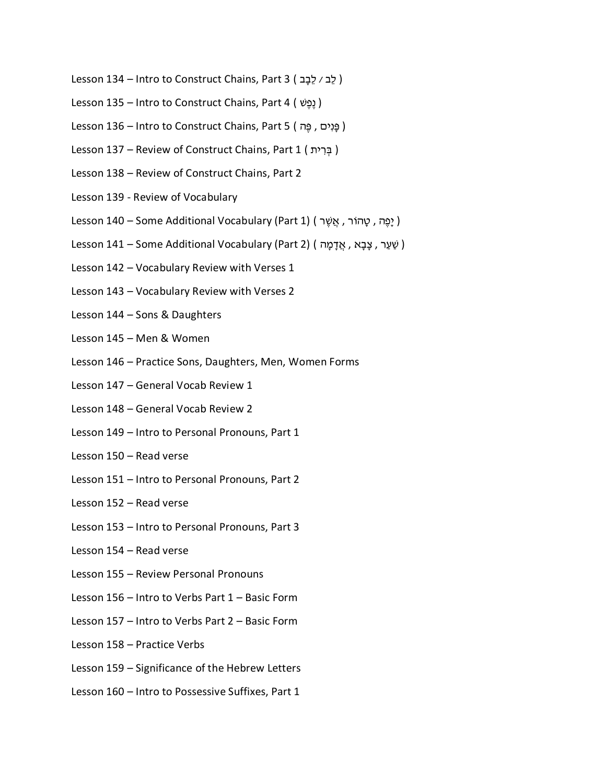- Lesson 134 Intro to Construct Chains, Part 3 ( לֶב / לֶבָב )
- Lesson 135 Intro to Construct Chains, Part 4 ( שֶפֶנ(
- Lesson 136 Intro to Construct Chains, Part 5 ( פֵּנְיִם, םַ
- Lesson 137 Review of Construct Chains, Part 1 ( בְּרִית )
- Lesson 138 Review of Construct Chains, Part 2
- Lesson 139 Review of Vocabulary
- Lesson 140 Some Additional Vocabulary (Part 1) (יָפֶה, טָהוֹר, אֲשֶׁר)
- Lesson 141 Some Additional Vocabulary (Part 2) ( אֲ דָּמָה , אֲדָּמַה )
- Lesson 142 Vocabulary Review with Verses 1
- Lesson 143 Vocabulary Review with Verses 2
- Lesson 144 Sons & Daughters
- Lesson 145 Men & Women
- Lesson 146 Practice Sons, Daughters, Men, Women Forms
- Lesson 147 General Vocab Review 1
- Lesson 148 General Vocab Review 2
- Lesson 149 Intro to Personal Pronouns, Part 1
- Lesson 150 Read verse
- Lesson 151 Intro to Personal Pronouns, Part 2
- Lesson 152 Read verse
- Lesson 153 Intro to Personal Pronouns, Part 3
- Lesson 154 Read verse
- Lesson 155 Review Personal Pronouns
- Lesson 156 Intro to Verbs Part 1 Basic Form
- Lesson 157 Intro to Verbs Part 2 Basic Form
- Lesson 158 Practice Verbs
- Lesson 159 Significance of the Hebrew Letters
- Lesson 160 Intro to Possessive Suffixes, Part 1